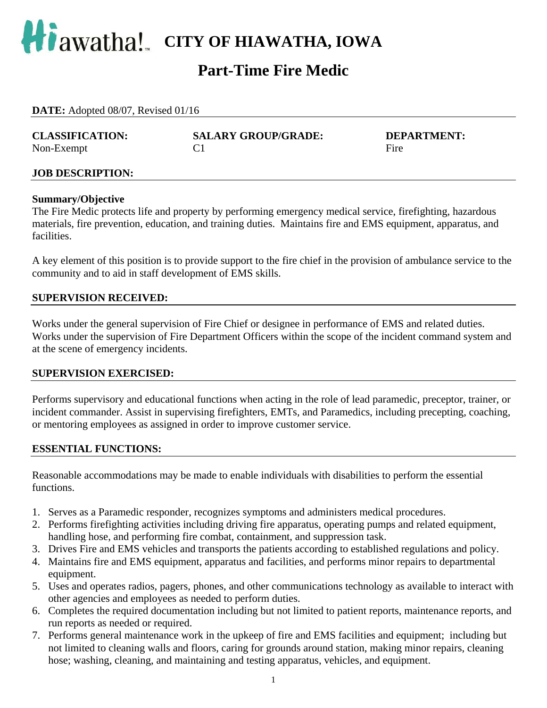

# **Part-Time Fire Medic**

| <b>DATE:</b> Adopted 08/07, Revised 01/16 |                            |                    |  |  |
|-------------------------------------------|----------------------------|--------------------|--|--|
| <b>CLASSIFICATION:</b>                    | <b>SALARY GROUP/GRADE:</b> | <b>DEPARTMENT:</b> |  |  |
| Non-Exempt                                |                            | Fire               |  |  |

#### **Summary/Objective**  The Fire Medic protects life and property by performing emergency medical service, firefighting, hazardous materials, fire prevention, education, and training duties. Maintains fire and EMS equipment, apparatus, and facilities.

A key element of this position is to provide support to the fire chief in the provision of ambulance service to the community and to aid in staff development of EMS skills.

#### **SUPERVISION RECEIVED:**

Works under the general supervision of Fire Chief or designee in performance of EMS and related duties. Works under the supervision of Fire Department Officers within the scope of the incident command system and at the scene of emergency incidents.

#### **SUPERVISION EXERCISED:**

Performs supervisory and educational functions when acting in the role of lead paramedic, preceptor, trainer, or incident commander. Assist in supervising firefighters, EMTs, and Paramedics, including precepting, coaching, or mentoring employees as assigned in order to improve customer service.

#### **ESSENTIAL FUNCTIONS:**

Reasonable accommodations may be made to enable individuals with disabilities to perform the essential functions.

- 1. Serves as a Paramedic responder, recognizes symptoms and administers medical procedures.
- 2. Performs firefighting activities including driving fire apparatus, operating pumps and related equipment, handling hose, and performing fire combat, containment, and suppression task.
- 3. Drives Fire and EMS vehicles and transports the patients according to established regulations and policy.
- 4. Maintains fire and EMS equipment, apparatus and facilities, and performs minor repairs to departmental equipment.
- 5. Uses and operates radios, pagers, phones, and other communications technology as available to interact with other agencies and employees as needed to perform duties.
- 6. Completes the required documentation including but not limited to patient reports, maintenance reports, and run reports as needed or required.
- 7. Performs general maintenance work in the upkeep of fire and EMS facilities and equipment; including but not limited to cleaning walls and floors, caring for grounds around station, making minor repairs, cleaning hose; washing, cleaning, and maintaining and testing apparatus, vehicles, and equipment.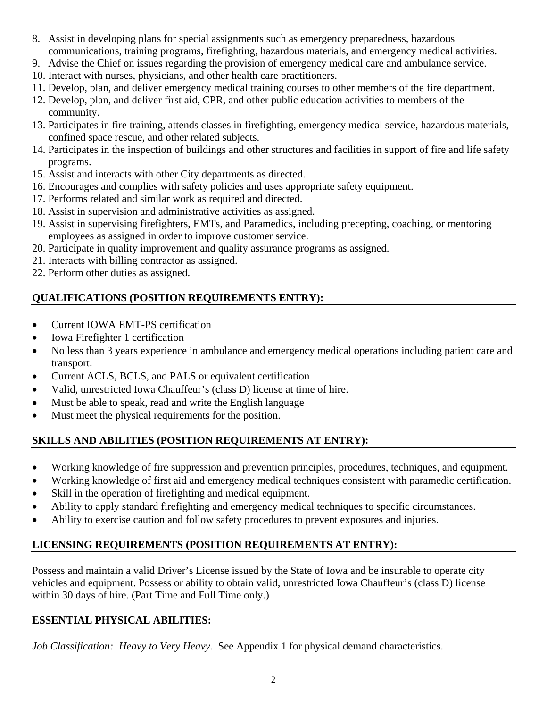- 8. Assist in developing plans for special assignments such as emergency preparedness, hazardous communications, training programs, firefighting, hazardous materials, and emergency medical activities.
- 9. Advise the Chief on issues regarding the provision of emergency medical care and ambulance service.
- 10. Interact with nurses, physicians, and other health care practitioners.
- 11. Develop, plan, and deliver emergency medical training courses to other members of the fire department.
- 12. Develop, plan, and deliver first aid, CPR, and other public education activities to members of the community.
- 13. Participates in fire training, attends classes in firefighting, emergency medical service, hazardous materials, confined space rescue, and other related subjects.
- 14. Participates in the inspection of buildings and other structures and facilities in support of fire and life safety programs.
- 15. Assist and interacts with other City departments as directed.
- 16. Encourages and complies with safety policies and uses appropriate safety equipment.
- 17. Performs related and similar work as required and directed.
- 18. Assist in supervision and administrative activities as assigned.
- 19. Assist in supervising firefighters, EMTs, and Paramedics, including precepting, coaching, or mentoring employees as assigned in order to improve customer service.
- 20. Participate in quality improvement and quality assurance programs as assigned.
- 21. Interacts with billing contractor as assigned.
- 22. Perform other duties as assigned.

## **QUALIFICATIONS (POSITION REQUIREMENTS ENTRY):**

- Current IOWA EMT-PS certification
- Iowa Firefighter 1 certification
- No less than 3 years experience in ambulance and emergency medical operations including patient care and transport.
- Current ACLS, BCLS, and PALS or equivalent certification
- Valid, unrestricted Iowa Chauffeur's (class D) license at time of hire.
- Must be able to speak, read and write the English language
- Must meet the physical requirements for the position.

## **SKILLS AND ABILITIES (POSITION REQUIREMENTS AT ENTRY):**

- Working knowledge of fire suppression and prevention principles, procedures, techniques, and equipment.
- Working knowledge of first aid and emergency medical techniques consistent with paramedic certification.
- Skill in the operation of firefighting and medical equipment.
- Ability to apply standard firefighting and emergency medical techniques to specific circumstances.
- Ability to exercise caution and follow safety procedures to prevent exposures and injuries.

## **LICENSING REQUIREMENTS (POSITION REQUIREMENTS AT ENTRY):**

Possess and maintain a valid Driver's License issued by the State of Iowa and be insurable to operate city vehicles and equipment. Possess or ability to obtain valid, unrestricted Iowa Chauffeur's (class D) license within 30 days of hire. (Part Time and Full Time only.)

## **ESSENTIAL PHYSICAL ABILITIES:**

*Job Classification: Heavy to Very Heavy.* See Appendix 1 for physical demand characteristics.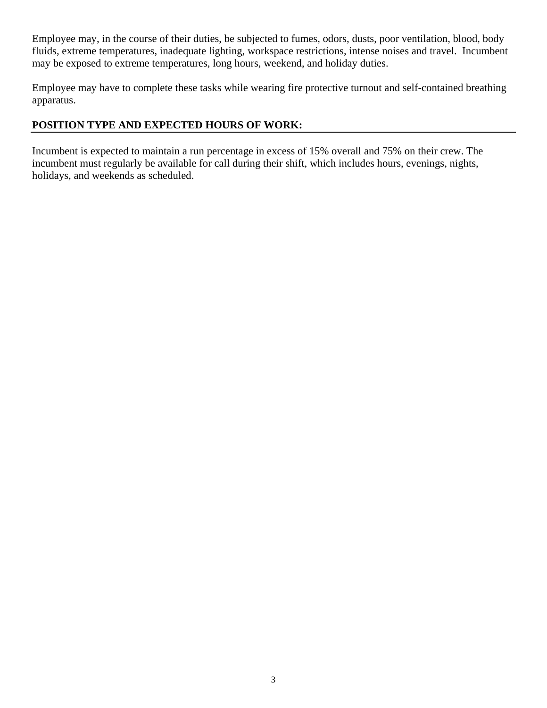Employee may, in the course of their duties, be subjected to fumes, odors, dusts, poor ventilation, blood, body fluids, extreme temperatures, inadequate lighting, workspace restrictions, intense noises and travel. Incumbent may be exposed to extreme temperatures, long hours, weekend, and holiday duties.

Employee may have to complete these tasks while wearing fire protective turnout and self-contained breathing apparatus.

## **POSITION TYPE AND EXPECTED HOURS OF WORK:**

Incumbent is expected to maintain a run percentage in excess of 15% overall and 75% on their crew. The incumbent must regularly be available for call during their shift, which includes hours, evenings, nights, holidays, and weekends as scheduled.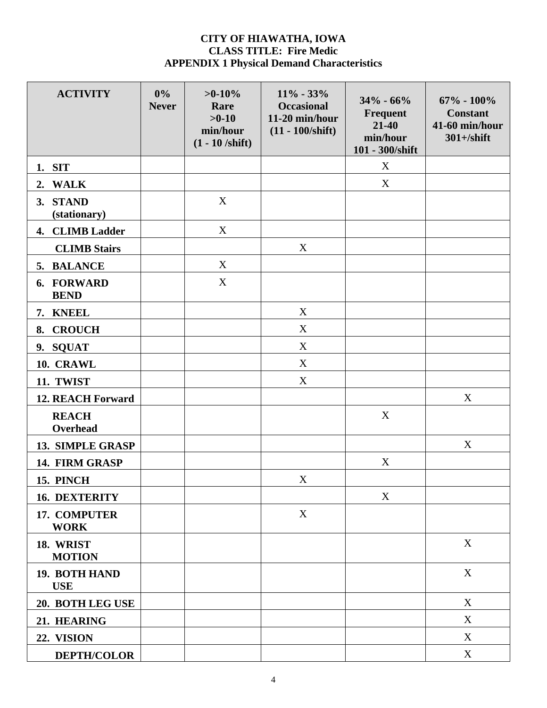### **CITY OF HIAWATHA, IOWA CLASS TITLE: Fire Medic APPENDIX 1 Physical Demand Characteristics**

| <b>ACTIVITY</b>             | 0%<br><b>Never</b> | $>0-10%$<br>Rare<br>$>0-10$<br>min/hour<br>$(1 - 10 / \text{shift})$ | $11\% - 33\%$<br><b>Occasional</b><br>11-20 min/hour<br>$(11 - 100/shift)$ | $34\% - 66\%$<br>Frequent<br>21-40<br>min/hour<br>101 - 300/shift | $67\% - 100\%$<br><b>Constant</b><br>41-60 min/hour<br>$301 + /$ shift |
|-----------------------------|--------------------|----------------------------------------------------------------------|----------------------------------------------------------------------------|-------------------------------------------------------------------|------------------------------------------------------------------------|
| 1. SIT                      |                    |                                                                      |                                                                            | X                                                                 |                                                                        |
| 2. WALK                     |                    |                                                                      |                                                                            | X                                                                 |                                                                        |
| 3. STAND<br>(stationary)    |                    | $\mathbf X$                                                          |                                                                            |                                                                   |                                                                        |
| 4. CLIMB Ladder             |                    | X                                                                    |                                                                            |                                                                   |                                                                        |
| <b>CLIMB</b> Stairs         |                    |                                                                      | X                                                                          |                                                                   |                                                                        |
| 5. BALANCE                  |                    | X                                                                    |                                                                            |                                                                   |                                                                        |
| 6. FORWARD<br><b>BEND</b>   |                    | X                                                                    |                                                                            |                                                                   |                                                                        |
| <b>KNEEL</b><br>7.          |                    |                                                                      | X                                                                          |                                                                   |                                                                        |
| <b>CROUCH</b><br>8.         |                    |                                                                      | X                                                                          |                                                                   |                                                                        |
| 9. SQUAT                    |                    |                                                                      | X                                                                          |                                                                   |                                                                        |
| 10. CRAWL                   |                    |                                                                      | X                                                                          |                                                                   |                                                                        |
| 11. TWIST                   |                    |                                                                      | X                                                                          |                                                                   |                                                                        |
| <b>12. REACH Forward</b>    |                    |                                                                      |                                                                            |                                                                   | X                                                                      |
| <b>REACH</b><br>Overhead    |                    |                                                                      |                                                                            | $\mathbf X$                                                       |                                                                        |
| 13. SIMPLE GRASP            |                    |                                                                      |                                                                            |                                                                   | X                                                                      |
| 14. FIRM GRASP              |                    |                                                                      |                                                                            | X                                                                 |                                                                        |
| 15. PINCH                   |                    |                                                                      | $\mathbf X$                                                                |                                                                   |                                                                        |
| <b>16. DEXTERITY</b>        |                    |                                                                      |                                                                            | X                                                                 |                                                                        |
| 17. COMPUTER<br><b>WORK</b> |                    |                                                                      | $\mathbf X$                                                                |                                                                   |                                                                        |
| 18. WRIST<br><b>MOTION</b>  |                    |                                                                      |                                                                            |                                                                   | $\mathbf X$                                                            |
| 19. BOTH HAND<br><b>USE</b> |                    |                                                                      |                                                                            |                                                                   | $\mathbf X$                                                            |
| 20. BOTH LEG USE            |                    |                                                                      |                                                                            |                                                                   | $\mathbf X$                                                            |
| 21. HEARING                 |                    |                                                                      |                                                                            |                                                                   | X                                                                      |
| 22. VISION                  |                    |                                                                      |                                                                            |                                                                   | X                                                                      |
| <b>DEPTH/COLOR</b>          |                    |                                                                      |                                                                            |                                                                   | $\mathbf X$                                                            |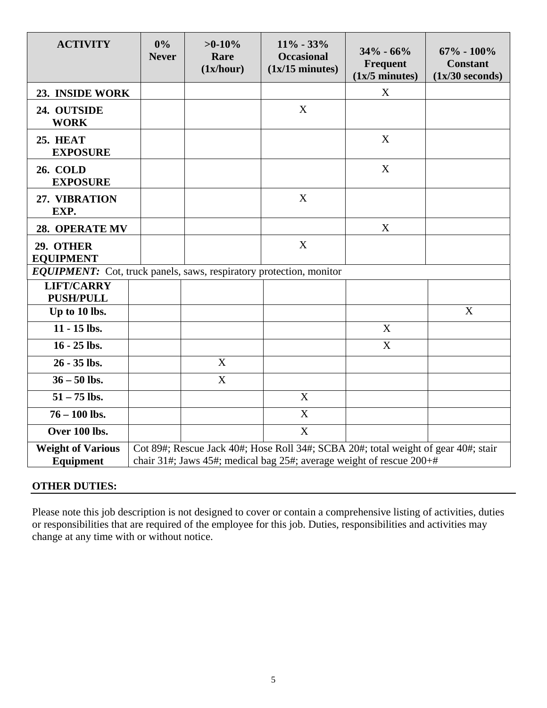| <b>ACTIVITY</b>                                                            | 0%<br><b>Never</b> | $>0-10%$<br>Rare<br>(1x/hour) | $11\% - 33\%$<br><b>Occasional</b><br>$(1x/15 \text{ minutes})$                                                                                            | $34\% - 66\%$<br>Frequent<br>$(1x/5$ minutes) | $67\% - 100\%$<br><b>Constant</b><br>$(1x/30$ seconds) |
|----------------------------------------------------------------------------|--------------------|-------------------------------|------------------------------------------------------------------------------------------------------------------------------------------------------------|-----------------------------------------------|--------------------------------------------------------|
| 23. INSIDE WORK                                                            |                    |                               |                                                                                                                                                            | X                                             |                                                        |
| 24. OUTSIDE<br><b>WORK</b>                                                 |                    |                               | X                                                                                                                                                          |                                               |                                                        |
| <b>25. HEAT</b><br><b>EXPOSURE</b>                                         |                    |                               |                                                                                                                                                            | X                                             |                                                        |
| <b>26. COLD</b><br><b>EXPOSURE</b>                                         |                    |                               |                                                                                                                                                            | X                                             |                                                        |
| 27. VIBRATION<br>EXP.                                                      |                    |                               | X                                                                                                                                                          |                                               |                                                        |
| 28. OPERATE MV                                                             |                    |                               |                                                                                                                                                            | X                                             |                                                        |
| 29. OTHER<br><b>EQUIPMENT</b>                                              |                    |                               | X                                                                                                                                                          |                                               |                                                        |
| <b>EQUIPMENT:</b> Cot, truck panels, saws, respiratory protection, monitor |                    |                               |                                                                                                                                                            |                                               |                                                        |
| <b>LIFT/CARRY</b><br><b>PUSH/PULL</b>                                      |                    |                               |                                                                                                                                                            |                                               |                                                        |
| Up to 10 lbs.                                                              |                    |                               |                                                                                                                                                            |                                               | X                                                      |
| 11 - 15 lbs.                                                               |                    |                               |                                                                                                                                                            | $\boldsymbol{X}$                              |                                                        |
| $16 - 25$ lbs.                                                             |                    |                               |                                                                                                                                                            | $\boldsymbol{X}$                              |                                                        |
| 26 - 35 lbs.                                                               |                    | X                             |                                                                                                                                                            |                                               |                                                        |
| $36 - 50$ lbs.                                                             |                    | X                             |                                                                                                                                                            |                                               |                                                        |
| $51 - 75$ lbs.                                                             |                    |                               | X                                                                                                                                                          |                                               |                                                        |
| $76 - 100$ lbs.                                                            |                    |                               | $\overline{X}$                                                                                                                                             |                                               |                                                        |
| Over 100 lbs.                                                              |                    |                               | X                                                                                                                                                          |                                               |                                                        |
| <b>Weight of Various</b><br>Equipment                                      |                    |                               | Cot 89#; Rescue Jack 40#; Hose Roll 34#; SCBA 20#; total weight of gear 40#; stair<br>chair 31#; Jaws 45#; medical bag 25#; average weight of rescue 200+# |                                               |                                                        |

## **OTHER DUTIES:**

Please note this job description is not designed to cover or contain a comprehensive listing of activities, duties or responsibilities that are required of the employee for this job. Duties, responsibilities and activities may change at any time with or without notice.